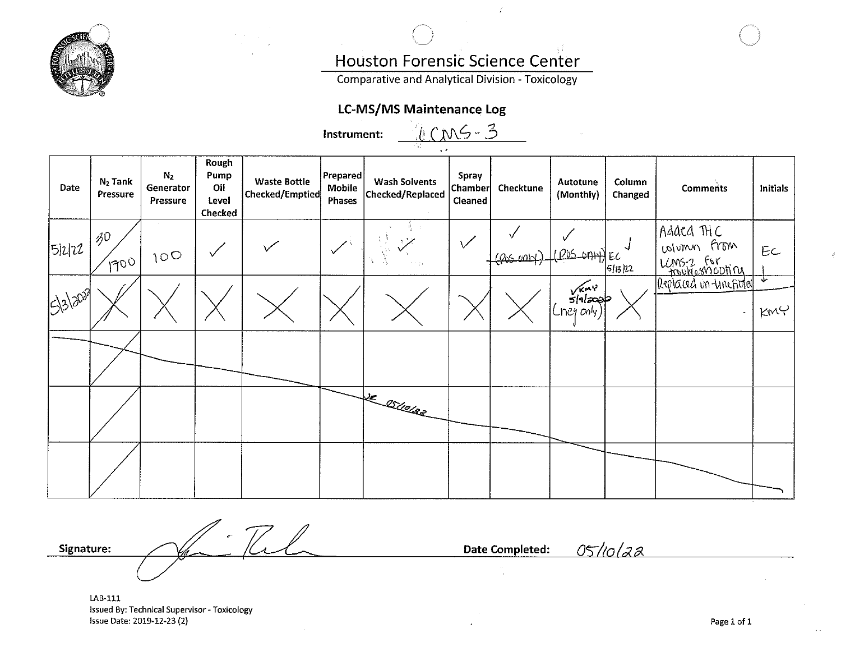

# Houston Forensic Science Center

**Comparative and Analytical Division - Toxicology** 

# **LC-MS/MS Maintenance Log**

| LCMS-3<br>Instrument: |                             |                                         |                                          |                                        |                              |                                          |                                    |           |                          |                   |                                                         |             |
|-----------------------|-----------------------------|-----------------------------------------|------------------------------------------|----------------------------------------|------------------------------|------------------------------------------|------------------------------------|-----------|--------------------------|-------------------|---------------------------------------------------------|-------------|
| Date                  | $N_2$ Tank<br>Pressure      | N <sub>2</sub><br>Generator<br>Pressure | Rough<br>Pump<br>Oil<br>Level<br>Checked | <b>Waste Bottle</b><br>Checked/Emptied | Prepared<br>Mobile<br>Phases | <b>Wash Solvents</b><br>Checked/Replaced | Spray<br><b>Chamber</b><br>Cleaned | Checktune | Autotune<br>(Monthly)    | Column<br>Changed | <b>Comments</b>                                         | Initials    |
| 5 2 22                | $\mathcal{B}^0$<br>$1700_1$ | $10^{\circ}$                            | $\checkmark$                             |                                        |                              | n e gu                                   | $\checkmark$                       | (405001)  | (PUS OAH) EC             | 5/13/22           | Adaca THC<br>when from<br>LCMS-2 For<br>troublesmooning | EC          |
| 15/3/2029             |                             |                                         |                                          |                                        |                              |                                          |                                    |           | $\sqrt{mn}$<br>Cney only |                   | Replaced in Investored                                  | ᠊᠍᠍᠊<br>KMC |
|                       |                             |                                         |                                          |                                        |                              |                                          |                                    |           |                          |                   |                                                         |             |
|                       |                             |                                         |                                          |                                        |                              | VE OSLOCER                               |                                    |           |                          |                   |                                                         |             |
|                       |                             |                                         |                                          |                                        |                              |                                          |                                    |           |                          |                   |                                                         |             |

 $77$ **Signature:** 

**Date Completed:** 

05/10/22

LAB-111 Issued By: Technical Supervisor - Toxicology Issue Date: 2019-12-23 (2)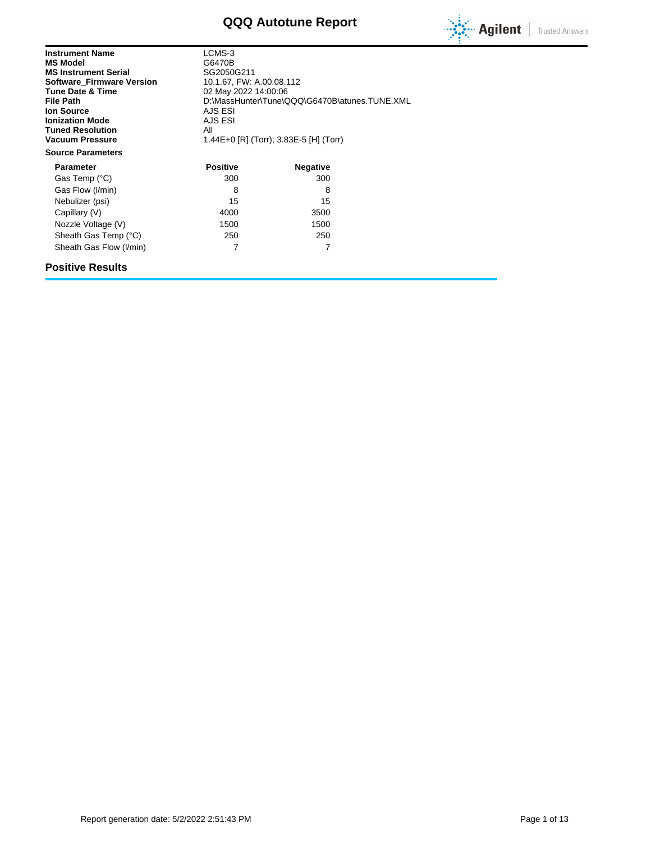# **QQQ Autotune Report**



| <b>Instrument Name</b><br><b>MS Model</b><br><b>MS Instrument Serial</b><br><b>Software Firmware Version</b><br><b>Tune Date &amp; Time</b><br><b>File Path</b><br><b>Ion Source</b><br><b>Ionization Mode</b><br><b>Tuned Resolution</b><br>Vacuum Pressure | LCMS-3<br>G6470B<br>SG2050G211<br>AJS ESI<br>AJS ESI<br>All | 10.1.67, FW: A.00.08.112<br>02 May 2022 14:00:06<br>D:\MassHunter\Tune\QQQ\G6470B\atunes.TUNE.XML<br>1.44E+0 [R] (Torr); 3.83E-5 [H] (Torr) |  |  |  |
|--------------------------------------------------------------------------------------------------------------------------------------------------------------------------------------------------------------------------------------------------------------|-------------------------------------------------------------|---------------------------------------------------------------------------------------------------------------------------------------------|--|--|--|
| <b>Source Parameters</b>                                                                                                                                                                                                                                     |                                                             |                                                                                                                                             |  |  |  |
| <b>Parameter</b>                                                                                                                                                                                                                                             | <b>Positive</b>                                             | <b>Negative</b>                                                                                                                             |  |  |  |
| Gas Temp (°C)                                                                                                                                                                                                                                                | 300                                                         | 300                                                                                                                                         |  |  |  |
| Gas Flow (I/min)                                                                                                                                                                                                                                             | 8                                                           | 8                                                                                                                                           |  |  |  |
| Nebulizer (psi)                                                                                                                                                                                                                                              | 15                                                          | 15                                                                                                                                          |  |  |  |
| Capillary (V)                                                                                                                                                                                                                                                | 4000                                                        | 3500                                                                                                                                        |  |  |  |
| Nozzle Voltage (V)                                                                                                                                                                                                                                           | 1500                                                        | 1500                                                                                                                                        |  |  |  |
| Sheath Gas Temp (°C)                                                                                                                                                                                                                                         | 250                                                         | 250                                                                                                                                         |  |  |  |
| Sheath Gas Flow (I/min)                                                                                                                                                                                                                                      | 7                                                           | 7                                                                                                                                           |  |  |  |

### **Positive Results**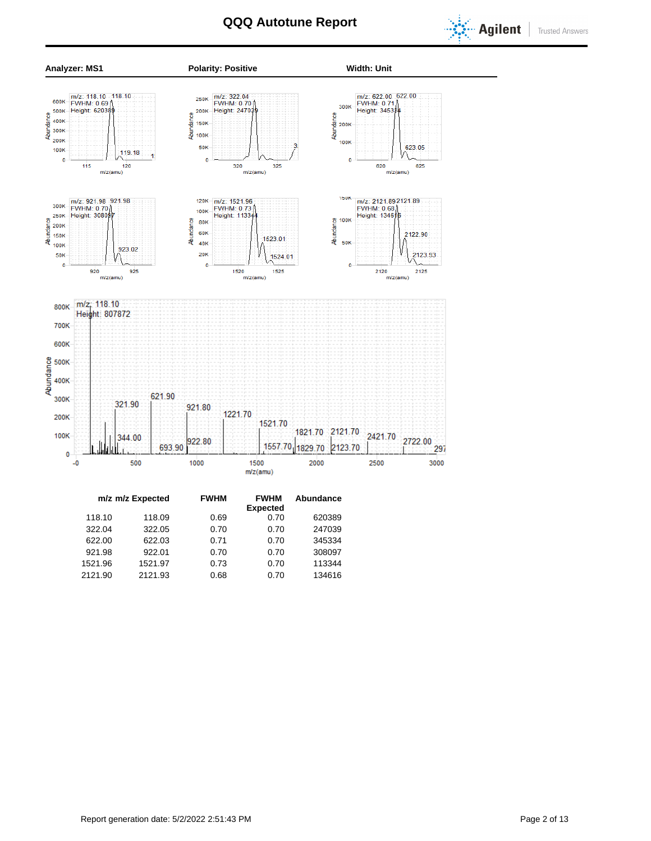



|         | m/z m/z Expected | <b>FWHM</b> | <b>FWHM</b><br><b>Expected</b> | Abundance |  |
|---------|------------------|-------------|--------------------------------|-----------|--|
| 118.10  | 118.09           | 0.69        | 0.70                           | 620389    |  |
| 322.04  | 322.05           | 0.70        | 0.70                           | 247039    |  |
| 622.00  | 622.03           | 0.71        | 0.70                           | 345334    |  |
| 921.98  | 922.01           | 0.70        | 0.70                           | 308097    |  |
| 1521.96 | 1521.97          | 0.73        | 0.70                           | 113344    |  |
| 2121.90 | 2121.93          | 0.68        | 0.70                           | 134616    |  |
|         |                  |             |                                |           |  |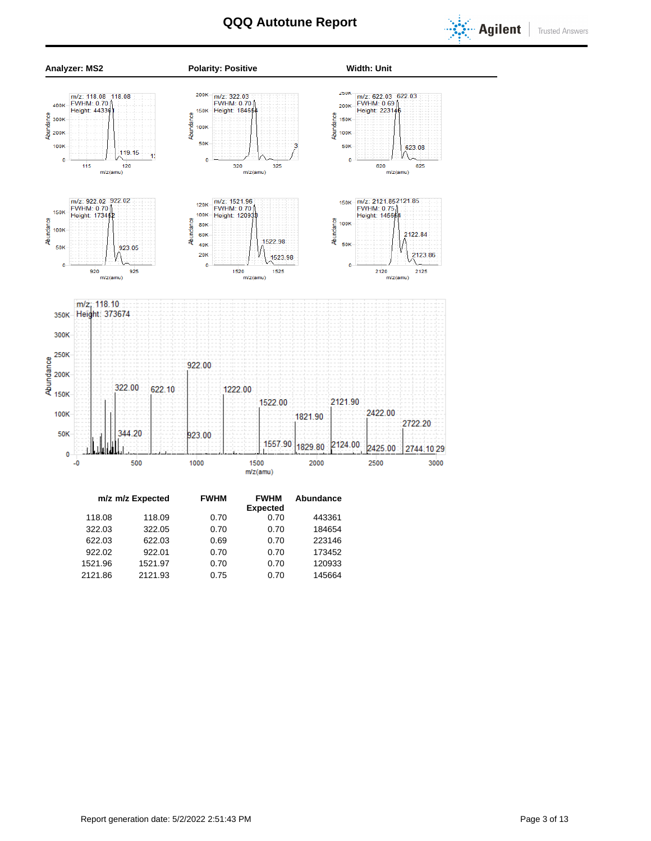



| m/z m/z Expected | <b>FWHM</b> | <b>FWHM</b>     | Abundance |
|------------------|-------------|-----------------|-----------|
|                  |             | <b>Expected</b> |           |
| 118.09           | 0.70        | 0.70            | 443361    |
| 322.05           | 0.70        | 0.70            | 184654    |
| 622.03           | 0.69        | 0.70            | 223146    |
| 922.01           | 0.70        | 0.70            | 173452    |
| 1521.97          | 0.70        | 0.70            | 120933    |
| 2121.93          | 0.75        | 0.70            | 145664    |
|                  |             |                 |           |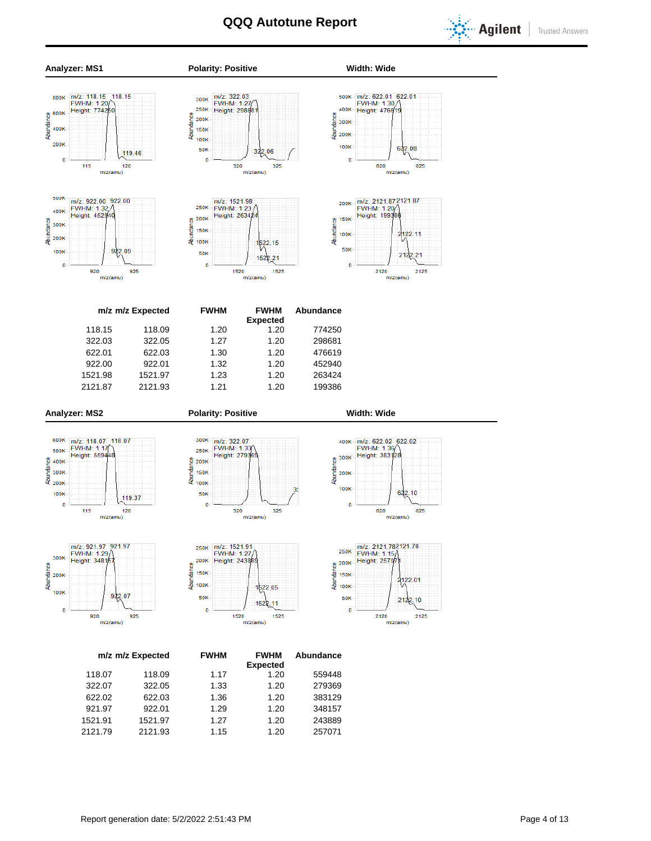



|         | m/z m/z Expected | <b>FWHM</b> | <b>FWHM</b>     | Abundance |  |  |
|---------|------------------|-------------|-----------------|-----------|--|--|
|         |                  |             | <b>Expected</b> |           |  |  |
| 118.07  | 118.09           | 1.17        | 1.20            | 559448    |  |  |
| 322.07  | 322.05           | 1.33        | 1.20            | 279369    |  |  |
| 622.02  | 622.03           | 1.36        | 1.20            | 383129    |  |  |
| 921.97  | 922.01           | 1.29        | 1.20            | 348157    |  |  |
| 1521.91 | 1521.97          | 1.27        | 1.20            | 243889    |  |  |
| 2121.79 | 2121.93          | 1.15        | 1.20            | 257071    |  |  |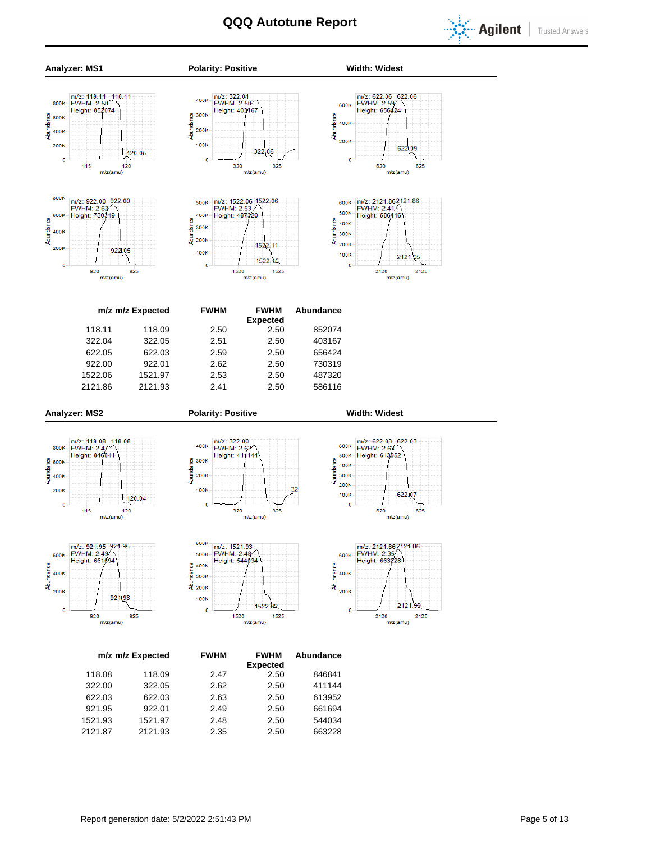



1521.93 1521.97 2.48 2.50 544034 2121.87 2121.93 2.35 2.50 663228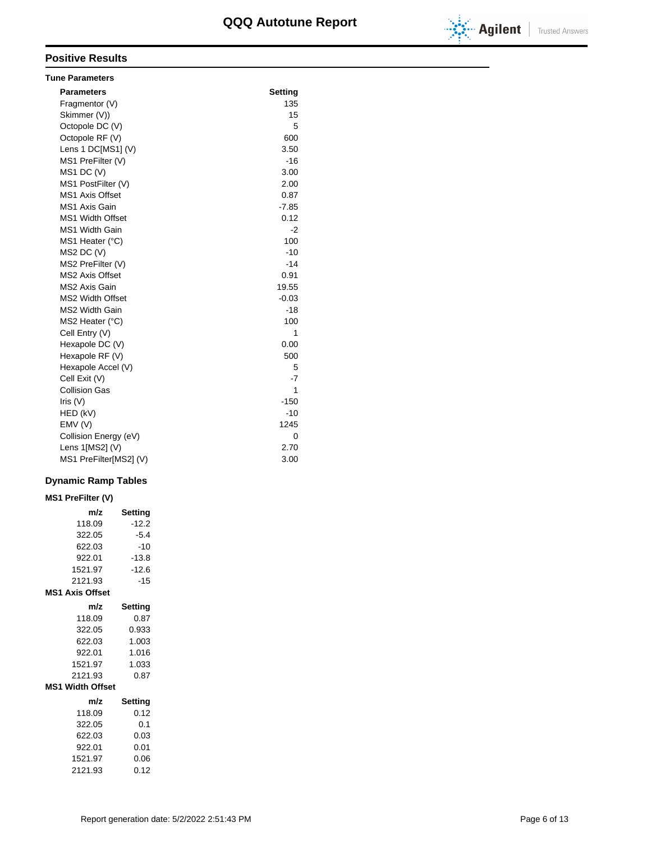

### **Positive Results**

| <b>Tune Parameters</b>  |         |
|-------------------------|---------|
| <b>Parameters</b>       | Setting |
| Fragmentor (V)          | 135     |
| Skimmer (V))            | 15      |
| Octopole DC (V)         | 5       |
| Octopole RF (V)         | 600     |
| Lens 1 DC[MS1] (V)      | 3.50    |
| MS1 PreFilter (V)       | $-16$   |
| $MS1$ DC (V)            | 3.00    |
| MS1 PostFilter (V)      | 2.00    |
| <b>MS1 Axis Offset</b>  | 0.87    |
| MS1 Axis Gain           | $-7.85$ |
| <b>MS1 Width Offset</b> | 0.12    |
| <b>MS1 Width Gain</b>   | $-2$    |
| MS1 Heater (°C)         | 100     |
| MS2 DC (V)              | $-10$   |
| MS2 PreFilter (V)       | $-14$   |
| <b>MS2 Axis Offset</b>  | 0.91    |
| MS2 Axis Gain           | 19.55   |
| <b>MS2 Width Offset</b> | $-0.03$ |
| <b>MS2 Width Gain</b>   | $-18$   |
| MS2 Heater (°C)         | 100     |
| Cell Entry (V)          | 1       |
| Hexapole DC (V)         | 0.00    |
| Hexapole RF (V)         | 500     |
| Hexapole Accel (V)      | 5       |
| Cell Exit (V)           | $-7$    |
| <b>Collision Gas</b>    | 1       |
| Iris $(V)$              | $-150$  |
| HED (kV)                | $-10$   |
| EMV(V)                  | 1245    |
| Collision Energy (eV)   | 0       |
| Lens 1[MS2] (V)         | 2.70    |
| MS1 PreFilter[MS2] (V)  | 3.00    |

### **Dynamic Ramp Tables**

# **MS1 PreFilter (V)**

| m/z                     | Setting |
|-------------------------|---------|
| 118.09                  | $-12.2$ |
| 322.05                  | $-5.4$  |
| 622.03                  | $-10$   |
| 922.01                  | $-13.8$ |
| 1521.97                 | $-12.6$ |
| 2121.93                 | $-15$   |
| <b>MS1 Axis Offset</b>  |         |
| m/z                     | Setting |
| 118.09                  | 0.87    |
| 322.05                  | 0.933   |
| 622.03                  | 1.003   |
| 922.01                  | 1.016   |
| 1521.97                 | 1.033   |
| 2121.93                 | 0.87    |
| <b>MS1 Width Offset</b> |         |
| m/z                     | Setting |
| 118.09                  | 0.12    |
| 322.05                  | 0.1     |
| 622.03                  | 0.03    |
| 922.01                  | 0.01    |
| 1521.97                 | 0.06    |
| 2121.93                 | 0.12    |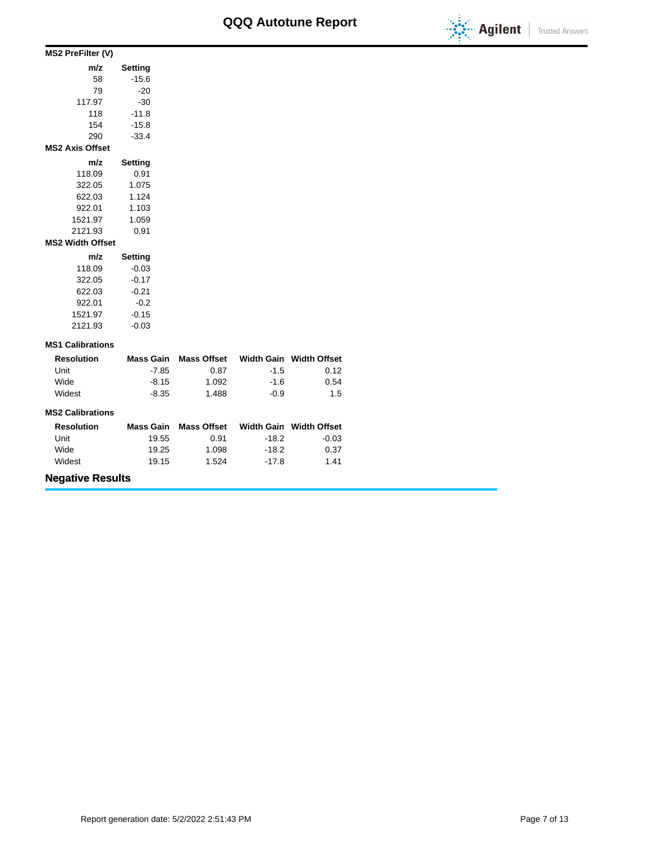

| MS2 PreFilter (V)       |                |  |  |  |  |
|-------------------------|----------------|--|--|--|--|
| m/z                     | Setting        |  |  |  |  |
| 58                      | $-15.6$        |  |  |  |  |
| 79                      | $-20$          |  |  |  |  |
| 117.97                  | $-30$          |  |  |  |  |
| 118                     | $-11.8$        |  |  |  |  |
| 154                     | $-15.8$        |  |  |  |  |
| 290                     | $-33.4$        |  |  |  |  |
| <b>MS2 Axis Offset</b>  |                |  |  |  |  |
| m/z                     | <b>Setting</b> |  |  |  |  |
| 118.09                  | 0.91           |  |  |  |  |
| 322.05                  | 1.075          |  |  |  |  |
| 622.03                  | 1.124          |  |  |  |  |
| 922.01                  | 1.103          |  |  |  |  |
| 1521.97                 | 1.059          |  |  |  |  |
| 2121.93                 | 0.91           |  |  |  |  |
| <b>MS2 Width Offset</b> |                |  |  |  |  |
| m/z                     | Setting        |  |  |  |  |
| 118.09                  | $-0.03$        |  |  |  |  |
| 322.05                  | $-0.17$        |  |  |  |  |
| 622.03                  | $-0.21$        |  |  |  |  |
| 922.01                  | $-0.2$         |  |  |  |  |
| 1521.97                 | $-0.15$        |  |  |  |  |

### **MS1 Calibrations**

2121.93 -0.03

| <b>Resolution</b> | Mass Gain | Mass Offset |        | Width Gain Width Offset |
|-------------------|-----------|-------------|--------|-------------------------|
| Unit              | $-7.85$   | 0.87        | $-1.5$ | 0.12                    |
| Wide              | -8.15     | 1.092       | $-1.6$ | 0.54                    |
| Widest            | $-8.35$   | 1.488       | -0.9   | 1.5                     |

#### **MS2 Calibrations**

| <b>Resolution</b> | <b>Mass Gain</b> | <b>Mass Offset</b> |         | Width Gain Width Offset |
|-------------------|------------------|--------------------|---------|-------------------------|
| Unit              | 19.55            | 0.91               | $-18.2$ | $-0.03$                 |
| Wide              | 19.25            | 1.098              | -18.2   | 0.37                    |
| Widest            | 19.15            | 1.524              | $-17.8$ | 1.41                    |

## **Negative Results**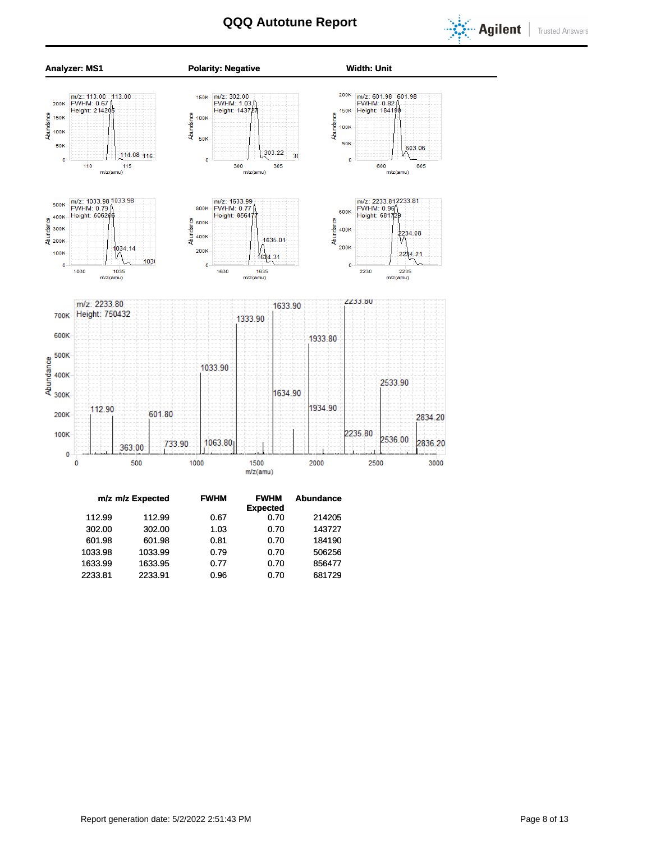



| Abundance |
|-----------|
|           |
| 214205    |
| 143727    |
| 184190    |
| 506256    |
| 856477    |
| 681729    |
|           |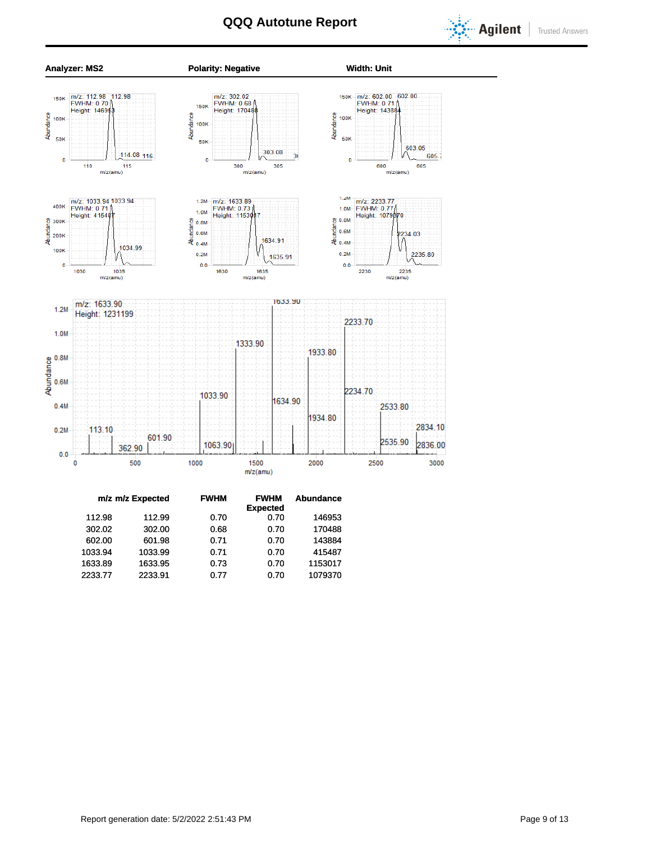



| m/z m/z Expected | <b>FWHM</b> | <b>FWHM</b>     | Abundance |
|------------------|-------------|-----------------|-----------|
|                  |             | <b>Expected</b> |           |
| 112.99           | 0.70        | 0.70            | 146953    |
| 302.00           | 0.68        | 0.70            | 170488    |
| 601.98           | 0.71        | 0.70            | 143884    |
| 1033.99          | 0.71        | 0.70            | 415487    |
| 1633.95          | 0.73        | 0.70            | 1153017   |
| 2233.91          | 0.77        | 0.70            | 1079370   |
|                  |             |                 |           |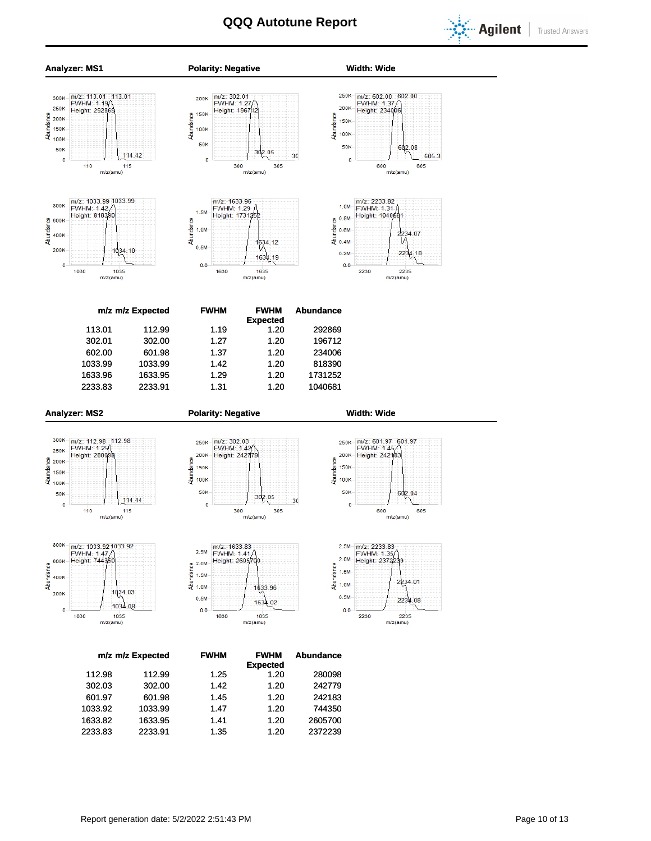



2233.83 2233.91 1.35 1.20 2372239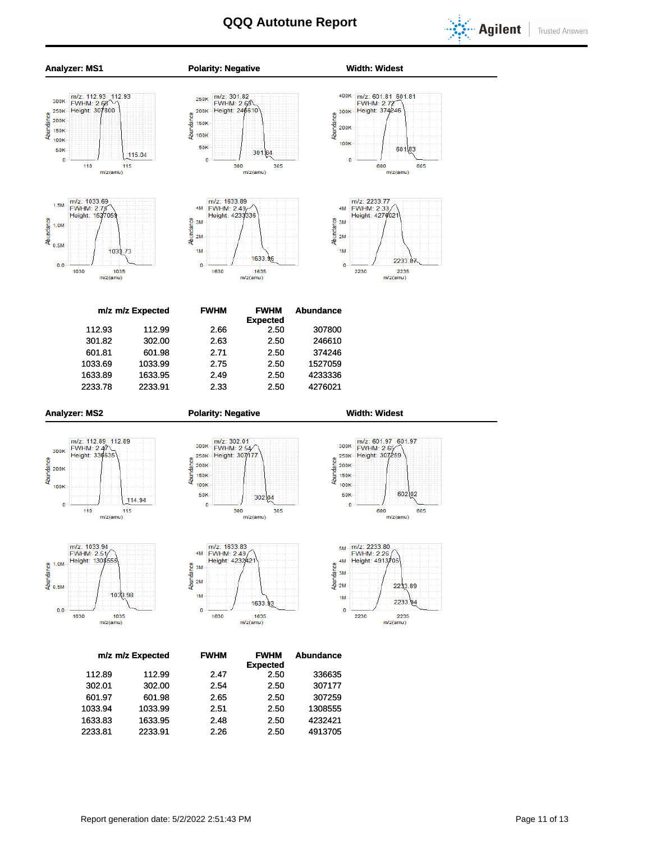

**Trusted Answers** 



1633.83 1633.95 2.48 2.50 4232421 2233.81 2233.91 2.26 2.50 4913705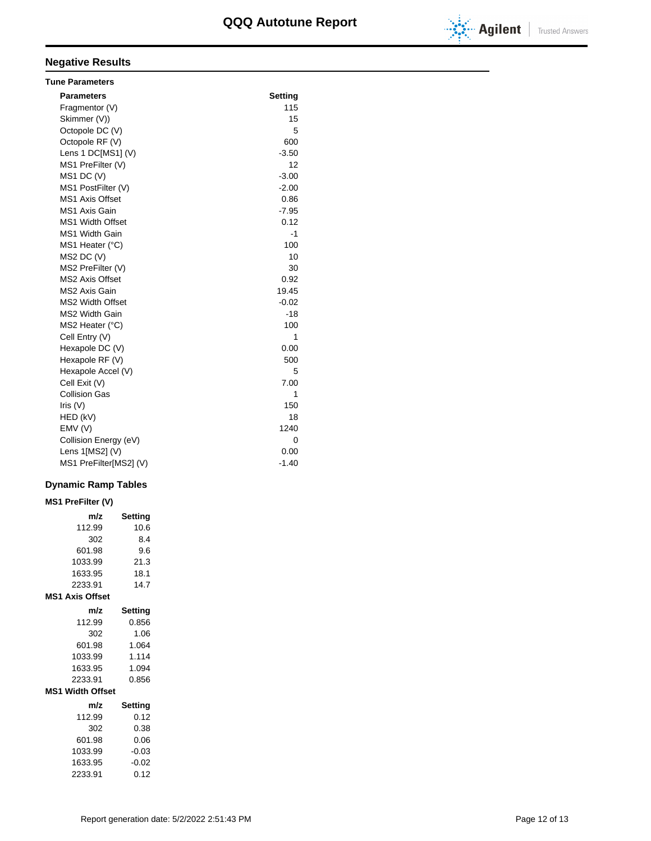

# **Negative Results**

| <b>Tune Parameters</b>  |         |
|-------------------------|---------|
| <b>Parameters</b>       | Setting |
| Fragmentor (V)          | 115     |
| Skimmer (V))            | 15      |
| Octopole DC (V)         | 5       |
| Octopole RF (V)         | 600     |
| Lens 1 DC[MS1] (V)      | $-3.50$ |
| MS1 PreFilter (V)       | 12      |
| $MS1$ DC $(V)$          | $-3.00$ |
| MS1 PostFilter (V)      | $-2.00$ |
| <b>MS1 Axis Offset</b>  | 0.86    |
| MS1 Axis Gain           | $-7.95$ |
| <b>MS1 Width Offset</b> | 0.12    |
| <b>MS1 Width Gain</b>   | -1      |
| MS1 Heater (°C)         | 100     |
| $MS2$ DC $(V)$          | 10      |
| MS2 PreFilter (V)       | 30      |
| <b>MS2 Axis Offset</b>  | 0.92    |
| MS2 Axis Gain           | 19.45   |
| <b>MS2 Width Offset</b> | $-0.02$ |
| <b>MS2 Width Gain</b>   | $-18$   |
| MS2 Heater (°C)         | 100     |
| Cell Entry (V)          | 1       |
| Hexapole DC (V)         | 0.00    |
| Hexapole RF (V)         | 500     |
| Hexapole Accel (V)      | 5       |
| Cell Exit (V)           | 7.00    |
| <b>Collision Gas</b>    | 1       |
| Iris $(V)$              | 150     |
| HED (kV)                | 18      |
| EMV(V)                  | 1240    |
| Collision Energy (eV)   | 0       |
| Lens 1[MS2] (V)         | 0.00    |
| MS1 PreFilter[MS2] (V)  | $-1.40$ |

### **Dynamic Ramp Tables**

| <b>MS1 PreFilter (V)</b> |                |  |  |  |  |  |  |  |  |
|--------------------------|----------------|--|--|--|--|--|--|--|--|
| m/z                      | Setting        |  |  |  |  |  |  |  |  |
| 112.99                   | 10.6           |  |  |  |  |  |  |  |  |
| 302                      | 8.4            |  |  |  |  |  |  |  |  |
| 601.98                   | 9.6            |  |  |  |  |  |  |  |  |
| 1033.99                  | 21.3           |  |  |  |  |  |  |  |  |
| 1633.95                  | 18.1           |  |  |  |  |  |  |  |  |
| 2233.91                  | 14.7           |  |  |  |  |  |  |  |  |
| <b>MS1 Axis Offset</b>   |                |  |  |  |  |  |  |  |  |
| m/z                      | <b>Setting</b> |  |  |  |  |  |  |  |  |
| 112.99                   | 0.856          |  |  |  |  |  |  |  |  |
| 302                      | 1.06           |  |  |  |  |  |  |  |  |
| 601.98                   | 1.064          |  |  |  |  |  |  |  |  |
| 1033.99                  | 1.114          |  |  |  |  |  |  |  |  |
| 1633.95                  | 1.094          |  |  |  |  |  |  |  |  |
| 2233.91                  | 0.856          |  |  |  |  |  |  |  |  |
| <b>MS1 Width Offset</b>  |                |  |  |  |  |  |  |  |  |
| m/z                      | Setting        |  |  |  |  |  |  |  |  |
| 112.99                   | 0.12           |  |  |  |  |  |  |  |  |
| 302                      | 0.38           |  |  |  |  |  |  |  |  |
| 601.98                   | 0.06           |  |  |  |  |  |  |  |  |
| 1033.99                  | $-0.03$        |  |  |  |  |  |  |  |  |
| 1633.95                  | $-0.02$        |  |  |  |  |  |  |  |  |
| 2233.91                  | 0.12           |  |  |  |  |  |  |  |  |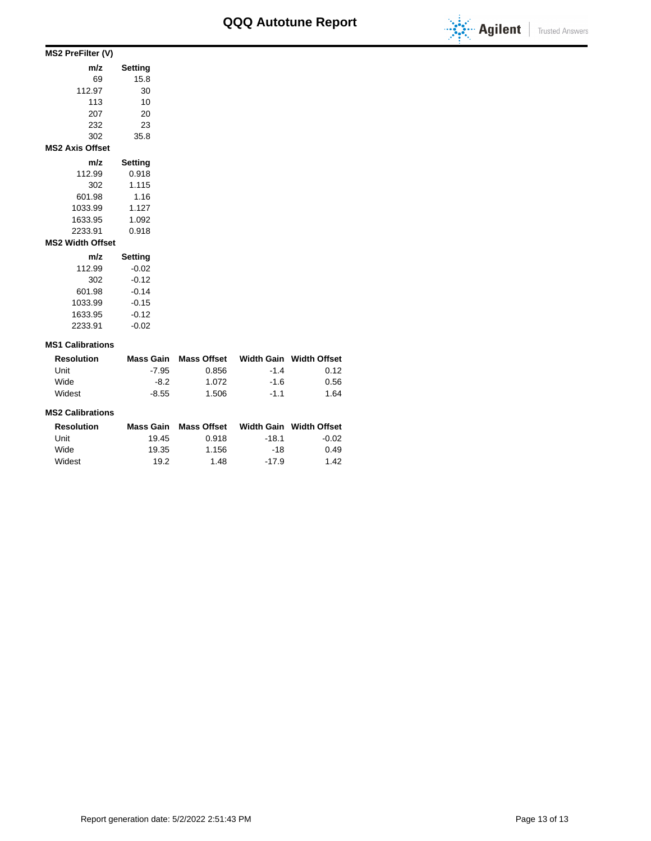

| MS2 PreFilter (V)       |                |  |  |  |  |  |  |  |
|-------------------------|----------------|--|--|--|--|--|--|--|
| m/z                     | Setting        |  |  |  |  |  |  |  |
| 69                      | 15.8           |  |  |  |  |  |  |  |
| 112.97                  | 30             |  |  |  |  |  |  |  |
| 113                     | 10             |  |  |  |  |  |  |  |
| 207                     | 20             |  |  |  |  |  |  |  |
| 232                     | 23             |  |  |  |  |  |  |  |
| 302                     | 35.8           |  |  |  |  |  |  |  |
| <b>MS2 Axis Offset</b>  |                |  |  |  |  |  |  |  |
| m/z                     | <b>Setting</b> |  |  |  |  |  |  |  |
| 112.99                  | 0.918          |  |  |  |  |  |  |  |
| 302                     | 1.115          |  |  |  |  |  |  |  |
| 601.98                  | 1.16           |  |  |  |  |  |  |  |
| 1033.99                 | 1.127          |  |  |  |  |  |  |  |
| 1633.95                 | 1.092          |  |  |  |  |  |  |  |
| 2233.91                 | 0.918          |  |  |  |  |  |  |  |
| <b>MS2 Width Offset</b> |                |  |  |  |  |  |  |  |
| m/z                     | Setting        |  |  |  |  |  |  |  |
| 112.99                  | $-0.02$        |  |  |  |  |  |  |  |
| 302                     | $-0.12$        |  |  |  |  |  |  |  |
| 601.98                  | $-0.14$        |  |  |  |  |  |  |  |
| 1033.99                 | $-0.15$        |  |  |  |  |  |  |  |
| 1633.95                 | $-0.12$        |  |  |  |  |  |  |  |

### **MS1 Calibrations**

2233.91 -0.02

| <b>Resolution</b> | Mass Gain | Mass Offset |        | Width Gain Width Offset |
|-------------------|-----------|-------------|--------|-------------------------|
| Unit              | $-7.95$   | 0.856       | $-14$  | 0.12                    |
| Wide              | -8.2      | 1.072       | $-1.6$ | 0.56                    |
| Widest            | $-8.55$   | 1.506       | $-11$  | 1.64                    |

#### **MS2 Calibrations**

| <b>Resolution</b> | Mass Gain | <b>Mass Offset</b> |         | Width Gain Width Offset |
|-------------------|-----------|--------------------|---------|-------------------------|
| Unit              | 19.45     | 0.918              | $-18.1$ | $-0.02$                 |
| Wide              | 19.35     | 1.156              | -18     | 0.49                    |
| Widest            | 19.2      | 1.48               | $-17.9$ | 1.42                    |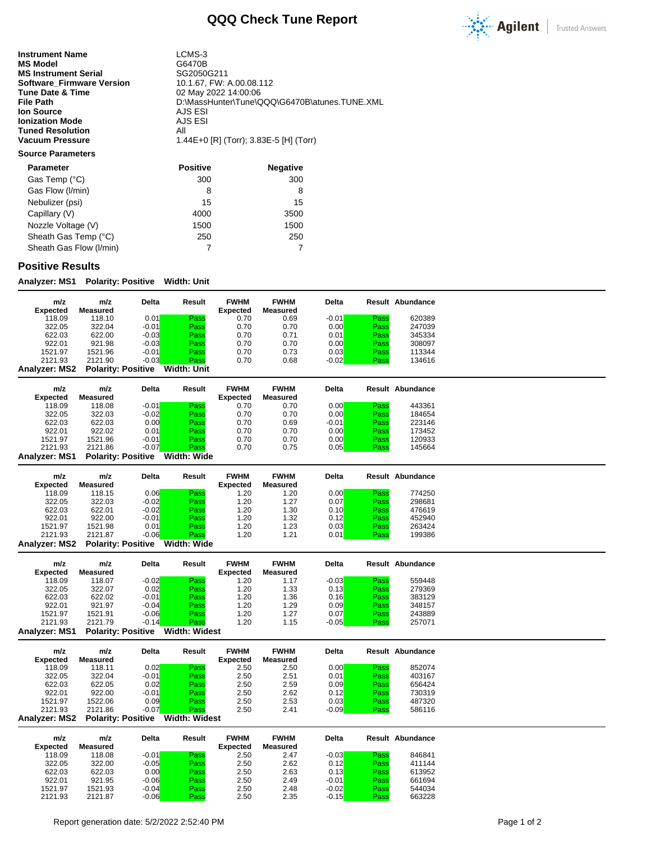

**Instrument Name** LCMS-3<br> **MS Model** G6470B **MS Model** G6470B<br> **MS Instrument Serial** GG2050G211 **MS Instrument Serial Serial SG2050G211**<br>**Software\_Firmware Version** 10.1.67, FW: A.00.08.112 **Software\_Firmware Version<br>Tune Date & Time Tune Date & Time** 02 May 2022 14:00:06<br>
File Path 0.WassHunter\Tune\C **Ion Source** AJS ESI<br> **Ionization Mode** AJS ESI **Ionization Mode** AJS<br> **Tuned Resolution** All **Tuned Resolution<br>Vacuum Pressure** 

**File Path** D:\MassHunter\Tune\QQQ\G6470B\atunes.TUNE.XML **Vacuum Pressure** 1.44E+0 [R] (Torr); 3.83E-5 [H] (Torr)

### **Source Parameters**

| <b>Parameter</b>        | <b>Positive</b> | <b>Negative</b> |
|-------------------------|-----------------|-----------------|
| Gas Temp (°C)           | 300             | 300             |
| Gas Flow (I/min)        | 8               | 8               |
| Nebulizer (psi)         | 15              | 15              |
| Capillary (V)           | 4000            | 3500            |
| Nozzle Voltage (V)      | 1500            | 1500            |
| Sheath Gas Temp (°C)    | 250             | 250             |
| Sheath Gas Flow (I/min) |                 |                 |

### **Positive Results**

**Analyzer: MS1 Polarity: Positive Width: Unit**

| m/z<br>Expected | m/z<br>Measured           | Delta   | Result      | <b>FWHM</b><br><b>Expected</b> | <b>FWHM</b><br>Measured | <b>Delta</b> |      | <b>Result Abundance</b> |
|-----------------|---------------------------|---------|-------------|--------------------------------|-------------------------|--------------|------|-------------------------|
| 118.09          | 118.10                    | 0.01    | Pass        | 0.70                           | 0.69                    | $-0.01$      | Pass | 620389                  |
| 322.05          | 322.04                    | $-0.01$ | Pass        | 0.70                           | 0.70                    | 0.00         | Pass | 247039                  |
| 622.03          | 622.00                    | $-0.03$ | Pass        | 0.70                           | 0.71                    | 0.01         | Pass | 345334                  |
| 922.01          | 921.98                    | $-0.03$ | Pass        | 0.70                           | 0.70                    | 0.00         | Pass | 308097                  |
| 1521.97         | 1521.96                   | $-0.01$ | Pass        | 0.70                           | 0.73                    | 0.03         | Pass | 113344                  |
| 2121.93         | 2121.90                   | $-0.03$ | Pass        | 0.70                           | 0.68                    | $-0.02$      | Pass | 134616                  |
| Analyzer: MS2   | <b>Polarity: Positive</b> |         | Width: Unit |                                |                         |              |      |                         |

| m/z<br><b>Expected</b> | m/z<br>Measured           | Delta   | Result      | <b>FWHM</b><br><b>Expected</b> | <b>FWHM</b><br>Measured | <b>Delta</b> |      | Result Abundance |
|------------------------|---------------------------|---------|-------------|--------------------------------|-------------------------|--------------|------|------------------|
| 118.09                 | 118.08                    | $-0.01$ | Pass        | 0.70                           | 0.70                    | 0.00         | Pass | 443361           |
| 322.05                 | 322.03                    | $-0.02$ | Pass        | 0.70                           | 0.70                    | 0.00         | Pass | 184654           |
| 622.03                 | 622.03                    | 0.00    | Pass        | 0.70                           | 0.69                    | $-0.01$      | Pass | 223146           |
| 922.01                 | 922.02                    | 0.01    | Pass        | 0.70                           | 0.70                    | 0.00         | Pass | 173452           |
| 1521.97                | 1521.96                   | $-0.01$ | Pass        | 0.70                           | 0.70                    | 0.00         | Pass | 120933           |
| 2121.93                | 2121.86                   | $-0.07$ | Pass        | 0.70                           | 0.75                    | 0.05         | Pass | 145664           |
| <b>Analyzer: MS1</b>   | <b>Polarity: Positive</b> |         | Width: Wide |                                |                         |              |      |                  |

| m/z<br><b>Expected</b> | m/z<br>Measured           | Delta   | Result      | <b>FWHM</b><br><b>Expected</b> | <b>FWHM</b><br>Measured | <b>Delta</b> |      | Result Abundance |
|------------------------|---------------------------|---------|-------------|--------------------------------|-------------------------|--------------|------|------------------|
| 118.09                 | 118.15                    | 0.06    | Pass        | 1.20                           | 1.20                    | 0.00         | Pass | 774250           |
| 322.05                 | 322.03                    | $-0.02$ | Pass        | 1.20                           | 1.27                    | 0.07         | Pass | 298681           |
| 622.03                 | 622.01                    | $-0.02$ | Pass        | 1.20                           | 1.30                    | 0.10         | Pass | 476619           |
| 922.01                 | 922.00                    | $-0.01$ | Pass        | 1.20                           | 1.32                    | 0.12         | Pass | 452940           |
| 1521.97                | 1521.98                   | 0.01    | Pass        | 1.20                           | 1.23                    | 0.03         | Pass | 263424           |
| 2121.93                | 2121.87                   | $-0.06$ | Pass        | 1.20                           | 1.21                    | 0.01         | Pass | 199386           |
| <b>Analyzer: MS2</b>   | <b>Polarity: Positive</b> |         | Width: Wide |                                |                         |              |      |                  |

| m/z<br><b>Expected</b> | m/z<br>Measured           | <b>Delta</b> | Result        | <b>FWHM</b><br><b>Expected</b> | <b>FWHM</b><br>Measured | <b>Delta</b> |      | <b>Result Abundance</b> |
|------------------------|---------------------------|--------------|---------------|--------------------------------|-------------------------|--------------|------|-------------------------|
| 118.09                 | 118.07                    | $-0.02$      | Pass          | 1.20                           | 1.17                    | $-0.03$      | Pass | 559448                  |
| 322.05                 | 322.07                    | 0.02         | Pass          | 1.20                           | 1.33                    | 0.13         | Pass | 279369                  |
| 622.03                 | 622.02                    | $-0.01$      | Pass          | 1.20                           | 1.36                    | 0.16         | Pass | 383129                  |
| 922.01                 | 921.97                    | $-0.04$      | Pass          | 1.20                           | 1.29                    | 0.09         | Pass | 348157                  |
| 1521.97                | 1521.91                   | $-0.06$      | Pass          | 1.20                           | 1.27                    | 0.07         | Pass | 243889                  |
| 2121.93                | 2121.79                   | $-0.14$      | Pass          | 1.20                           | 1.15                    | $-0.05$      | Pass | 257071                  |
| <b>Analyzer: MS1</b>   | <b>Polarity: Positive</b> |              | Width: Widest |                                |                         |              |      |                         |

| m/z<br><b>Expected</b> | m/z<br>Measured | Delta   | Result | <b>FWHM</b><br><b>Expected</b> | <b>FWHM</b><br>Measured | Delta   |      | Result Abundance |
|------------------------|-----------------|---------|--------|--------------------------------|-------------------------|---------|------|------------------|
| 118.09                 | 118.11          | 0.02    | Pass   | 2.50                           | 2.50                    | 0.00    | Pass | 852074           |
| 322.05                 | 322.04          | $-0.01$ | Pass   | 2.50                           | 2.51                    | 0.01    | Pass | 403167           |
| 622.03                 | 622.05          | 0.02    | Pass   | 2.50                           | 2.59                    | 0.09    | Pass | 656424           |
| 922.01                 | 922.00          | $-0.01$ | Pass   | 2.50                           | 2.62                    | 0.12    | Pass | 730319           |
| 1521.97                | 1522.06         | 0.09    | Pass   | 2.50                           | 2.53                    | 0.03    | Pass | 487320           |
| 2121.93                | 2121.86         | $-0.07$ | Pass   | 2.50                           | 2.41                    | $-0.09$ | Pass | 586116           |

**Analyzer: MS2 Polarity: Positive Width: Widest**

| m/z<br><b>Expected</b> | m/z<br>Measured | <b>Delta</b> | Result | <b>FWHM</b><br><b>Expected</b> | <b>FWHM</b><br>Measured | <b>Delta</b> |      | Result Abundance |
|------------------------|-----------------|--------------|--------|--------------------------------|-------------------------|--------------|------|------------------|
| 118.09                 | 118.08          | $-0.01$      | Pass   | 2.50                           | 2.47                    | $-0.03$      | Pass | 846841           |
| 322.05                 | 322.00          | $-0.05$      | Pass   | 2.50                           | 2.62                    | 0.12         | Pass | 411144           |
| 622.03                 | 622.03          | 0.00         | Pass   | 2.50                           | 2.63                    | 0.13         | Pass | 613952           |
| 922.01                 | 921.95          | $-0.06$      | Pass   | 2.50                           | 2.49                    | $-0.01$      | Pass | 661694           |
| 1521.97                | 1521.93         | $-0.04$      | Pass   | 2.50                           | 2.48                    | $-0.02$      | Pass | 544034           |
| 2121.93                | 2121.87         | $-0.06$      | Pass   | 2.50                           | 2.35                    | $-0.15$      | Pass | 663228           |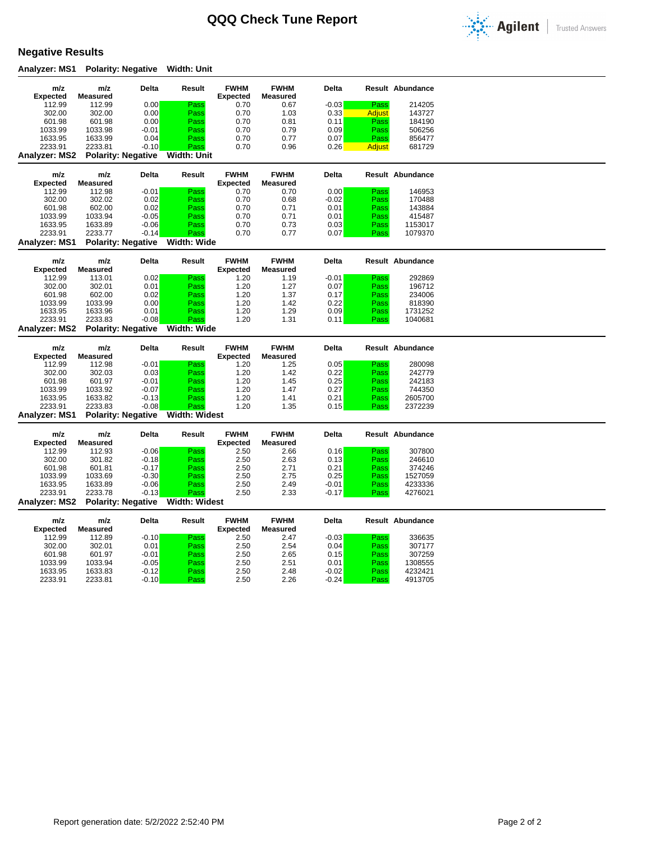

## **Negative Results**

**Analyzer: MS1 Polarity: Negative Width: Unit**

| m/z                  | m/z                | Delta                     | Result               | <b>FWHM</b>     | <b>FWHM</b>     | Delta              |              | <b>Result Abundance</b> |
|----------------------|--------------------|---------------------------|----------------------|-----------------|-----------------|--------------------|--------------|-------------------------|
| <b>Expected</b>      | <b>Measured</b>    |                           |                      | <b>Expected</b> | <b>Measured</b> |                    |              |                         |
| 112.99               | 112.99             | 0.00                      | Pass                 | 0.70            | 0.67            | $-0.03$            | Pass         | 214205                  |
| 302.00               | 302.00             | 0.00                      | Pass                 | 0.70            | 1.03            | 0.33               | Adjust       | 143727                  |
| 601.98               | 601.98             | 0.00                      | Pass                 | 0.70            | 0.81            | 0.11               | Pass         | 184190                  |
| 1033.99              | 1033.98            | $-0.01$                   | Pass                 | 0.70            | 0.79            | 0.09               | Pass         | 506256                  |
| 1633.95              | 1633.99            | 0.04                      | Pass                 | 0.70            | 0.77            | 0.07               | Pass         | 856477                  |
| 2233.91              | 2233.81            | $-0.10$                   | Pass                 | 0.70            | 0.96            | 0.26               | Adjust       | 681729                  |
| Analyzer: MS2        |                    | <b>Polarity: Negative</b> | Width: Unit          |                 |                 |                    |              |                         |
|                      |                    |                           |                      |                 |                 |                    |              |                         |
| m/z                  | m/z                | Delta                     | Result               | <b>FWHM</b>     | <b>FWHM</b>     | Delta              |              | Result Abundance        |
| <b>Expected</b>      | <b>Measured</b>    |                           |                      | <b>Expected</b> | <b>Measured</b> |                    |              |                         |
| 112.99               | 112.98             | $-0.01$                   | Pass                 | 0.70            | 0.70            | 0.00               | Pass         | 146953                  |
| 302.00               | 302.02             | 0.02                      | Pass                 | 0.70            | 0.68            | $-0.02$            | Pass         | 170488                  |
| 601.98               | 602.00             | 0.02                      | Pass                 | 0.70            | 0.71            | 0.01               | Pass         | 143884                  |
| 1033.99              | 1033.94            | $-0.05$                   |                      | 0.70            | 0.71            | 0.01               |              | 415487                  |
|                      |                    |                           | Pass                 |                 |                 |                    | Pass         |                         |
| 1633.95              | 1633.89            | $-0.06$                   | Pass                 | 0.70            | 0.73            | 0.03               | Pass         | 1153017                 |
| 2233.91              | 2233.77            | $-0.14$                   | Pass                 | 0.70            | 0.77            | 0.07               | Pass         | 1079370                 |
| <b>Analyzer: MS1</b> |                    | <b>Polarity: Negative</b> | Width: Wide          |                 |                 |                    |              |                         |
|                      |                    |                           |                      |                 |                 |                    |              |                         |
| m/z                  | m/z                | Delta                     | Result               | <b>FWHM</b>     | <b>FWHM</b>     | Delta              |              | <b>Result Abundance</b> |
| <b>Expected</b>      | <b>Measured</b>    |                           |                      | <b>Expected</b> | <b>Measured</b> |                    |              |                         |
| 112.99               | 113.01             | 0.02                      | Pass                 | 1.20            | 1.19            | $-0.01$            | Pass         | 292869                  |
| 302.00               | 302.01             | 0.01                      | Pass                 | 1.20            | 1.27            | 0.07               | Pass         | 196712                  |
| 601.98               | 602.00             | 0.02                      | Pass                 | 1.20            | 1.37            | 0.17               | Pass         | 234006                  |
| 1033.99              | 1033.99            | 0.00                      | Pass                 | 1.20            | 1.42            | 0.22               | Pass         | 818390                  |
| 1633.95              | 1633.96            | 0.01                      | Pass                 | 1.20            | 1.29            | 0.09               | Pass         | 1731252                 |
| 2233.91              | 2233.83            | $-0.08$                   | Pass                 | 1.20            | 1.31            | 0.11               | Pass         | 1040681                 |
|                      |                    |                           |                      |                 |                 |                    |              |                         |
|                      |                    |                           |                      |                 |                 |                    |              |                         |
| <b>Analyzer: MS2</b> |                    | <b>Polarity: Negative</b> | Width: Wide          |                 |                 |                    |              |                         |
|                      |                    |                           |                      |                 |                 |                    |              |                         |
| m/z                  | m/z                | <b>Delta</b>              | Result               | <b>FWHM</b>     | <b>FWHM</b>     | <b>Delta</b>       |              | <b>Result Abundance</b> |
| <b>Expected</b>      | <b>Measured</b>    |                           |                      | <b>Expected</b> | <b>Measured</b> |                    |              |                         |
| 112.99               | 112.98             | $-0.01$                   | Pass                 | 1.20            | 1.25            | 0.05               | Pass         | 280098                  |
| 302.00               | 302.03             | 0.03                      | Pass                 | 1.20            | 1.42            | 0.22               | Pass         | 242779                  |
| 601.98               | 601.97             | $-0.01$                   | Pass                 | 1.20            | 1.45            | 0.25               | Pass         | 242183                  |
| 1033.99              | 1033.92            | $-0.07$                   | Pass                 | 1.20            | 1.47            | 0.27               | Pass         | 744350                  |
| 1633.95              | 1633.82            | $-0.13$                   | Pass                 | 1.20            | 1.41            | 0.21               | Pass         | 2605700                 |
| 2233.91              | 2233.83            | $-0.08$                   | Pass                 | 1.20            | 1.35            | 0.15               | Pass         | 2372239                 |
| Analyzer: MS1        |                    | <b>Polarity: Negative</b> | <b>Width: Widest</b> |                 |                 |                    |              |                         |
|                      |                    |                           |                      |                 |                 |                    |              |                         |
| m/z                  | m/z                | Delta                     | Result               | <b>FWHM</b>     | <b>FWHM</b>     | Delta              |              | <b>Result Abundance</b> |
|                      |                    |                           |                      |                 |                 |                    |              |                         |
| <b>Expected</b>      | Measured           |                           |                      | <b>Expected</b> | <b>Measured</b> |                    |              |                         |
| 112.99               | 112.93             | $-0.06$                   | Pass                 | 2.50            | 2.66            | 0.16               | Pass         | 307800                  |
| 302.00               | 301.82             | $-0.18$                   | Pass                 | 2.50            | 2.63            | 0.13               | Pass         | 246610                  |
| 601.98               | 601.81             | $-0.17$                   | Pass                 | 2.50            | 2.71            | 0.21               | Pass         | 374246                  |
| 1033.99              | 1033.69            | $-0.30$                   | Pass                 | 2.50            | 2.75            | 0.25               | Pass         | 1527059                 |
| 1633.95              | 1633.89            | $-0.06$                   | Pass                 | 2.50            | 2.49            | $-0.01$            | Pass         | 4233336                 |
| 2233.91              | 2233.78            | $-0.13$                   | Pass                 | 2.50            | 2.33            | $-0.17$            | Pass         | 4276021                 |
| <b>Analyzer: MS2</b> |                    | <b>Polarity: Negative</b> | <b>Width: Widest</b> |                 |                 |                    |              |                         |
|                      |                    |                           |                      |                 |                 |                    |              |                         |
| m/z                  | m/z                | Delta                     | Result               | <b>FWHM</b>     | <b>FWHM</b>     | <b>Delta</b>       |              | <b>Result Abundance</b> |
|                      | <b>Measured</b>    |                           |                      |                 | <b>Measured</b> |                    |              |                         |
| <b>Expected</b>      |                    |                           |                      | <b>Expected</b> |                 |                    | Pass         |                         |
| 112.99               | 112.89             | $-0.10$                   | Pass                 | 2.50            | 2.47            | $-0.03$            |              | 336635                  |
| 302.00               | 302.01             | 0.01                      | Pass                 | 2.50            | 2.54            | 0.04               | Pass         | 307177                  |
| 601.98               | 601.97             | $-0.01$                   | Pass                 | 2.50            | 2.65            | 0.15               | Pass         | 307259                  |
| 1033.99              | 1033.94            | $-0.05$                   | Pass                 | 2.50            | 2.51            | 0.01               | Pass         | 1308555                 |
| 1633.95<br>2233.91   | 1633.83<br>2233.81 | $-0.12$<br>$-0.10$        | Pass<br>Pass         | 2.50<br>2.50    | 2.48<br>2.26    | $-0.02$<br>$-0.24$ | Pass<br>Pass | 4232421<br>4913705      |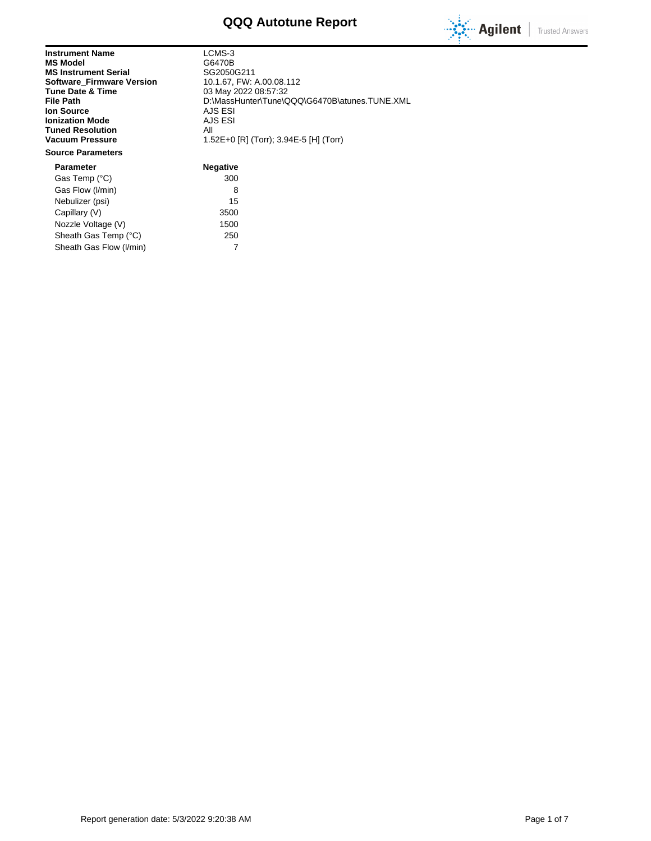# **QQQ Autotune Report**



**Trusted Answers** 

| <b>Instrument Name</b><br><b>MS Model</b><br><b>MS Instrument Serial</b><br><b>Software Firmware Version</b><br>Tune Date & Time<br>File Path<br><b>Ion Source</b><br><b>Ionization Mode</b><br><b>Tuned Resolution</b><br><b>Vacuum Pressure</b> | LCMS-3<br>G6470B<br>SG2050G211<br>10.1.67, FW: A.00.08.112<br>03 May 2022 08:57:32<br>D:\MassHunter\Tune\QQC<br>AJS ESI<br>AJS ESI<br>All<br>1.52E+0 [R] (Torr); 3.94E- |
|---------------------------------------------------------------------------------------------------------------------------------------------------------------------------------------------------------------------------------------------------|-------------------------------------------------------------------------------------------------------------------------------------------------------------------------|
| <b>Source Parameters</b>                                                                                                                                                                                                                          |                                                                                                                                                                         |
| <b>Parameter</b>                                                                                                                                                                                                                                  | <b>Negative</b>                                                                                                                                                         |
| Gas Temp (°C)                                                                                                                                                                                                                                     | 300                                                                                                                                                                     |
|                                                                                                                                                                                                                                                   |                                                                                                                                                                         |

LCMS-3 **MS Model** G6470B **MS Instrument Serial** SG2050G211 **File Path** D:\MassHunter\Tune\QQQ\G6470B\atunes.TUNE.XML **Ion Source** AJS ESI **AJS ESI Vacuum Pressure** 1.52E+0 [R] (Torr); 3.94E-5 [H] (Torr)

### **Negative** Gas Temp (°C) 300 Gas Flow (I/min) 8 Nebulizer (psi) 15 Capillary (V) 3500 Nozzle Voltage (V) 1500 Sheath Gas Temp (°C) 250 Sheath Gas Flow (I/min) 7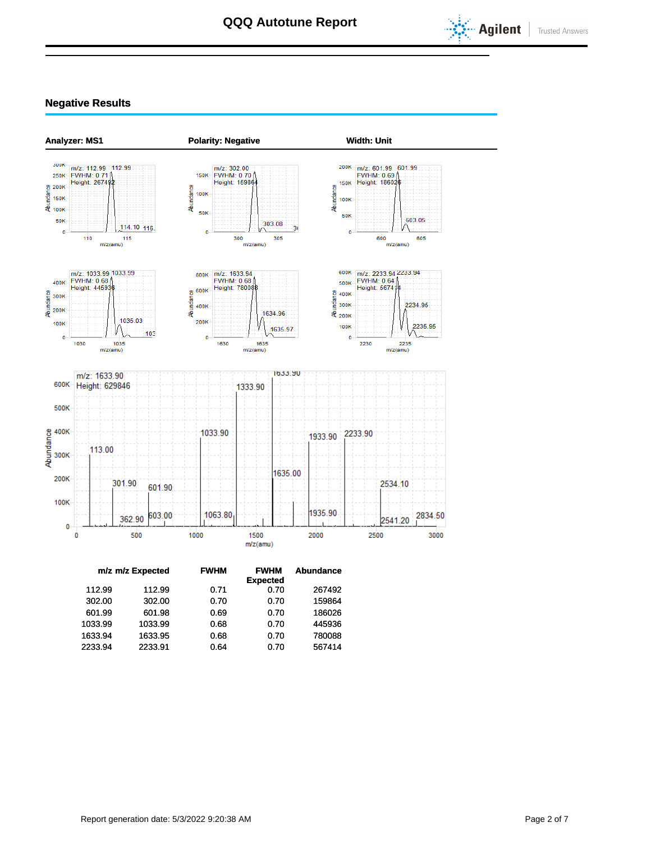

### **Negative Results**



|         | m/z m/z Expected | <b>FWHM</b> | <b>FWHM</b><br><b>Expected</b> | <b>Abundance</b> |
|---------|------------------|-------------|--------------------------------|------------------|
| 112.99  | 112.99           | 0.71        | 0.70                           | 267492           |
| 302.00  | 302.00           | 0.70        | 0.70                           | 159864           |
| 601.99  | 601.98           | 0.69        | 0.70                           | 186026           |
| 1033.99 | 1033.99          | 0.68        | 0.70                           | 445936           |
| 1633.94 | 1633.95          | 0.68        | 0.70                           | 780088           |
| 2233.94 | 2233.91          | 0.64        | 0.70                           | 567414           |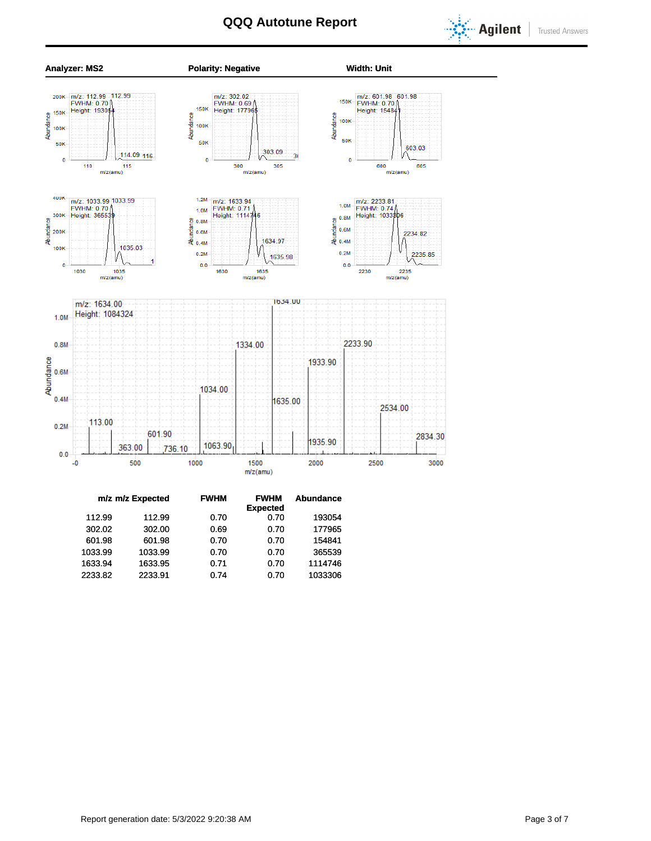



| m/z m/z Expected | <b>FWHM</b> | <b>FWHM</b>     | <b>Abundance</b> |
|------------------|-------------|-----------------|------------------|
|                  |             | <b>Expected</b> |                  |
| 112.99           | 0.70        | 0.70            | 193054           |
| 302.00           | 0.69        | 0.70            | 177965           |
| 601.98           | 0.70        | 0.70            | 154841           |
| 1033.99          | 0.70        | 0.70            | 365539           |
| 1633.95          | 0.71        | 0.70            | 1114746          |
| 2233.91          | 0.74        | 0.70            | 1033306          |
|                  |             |                 |                  |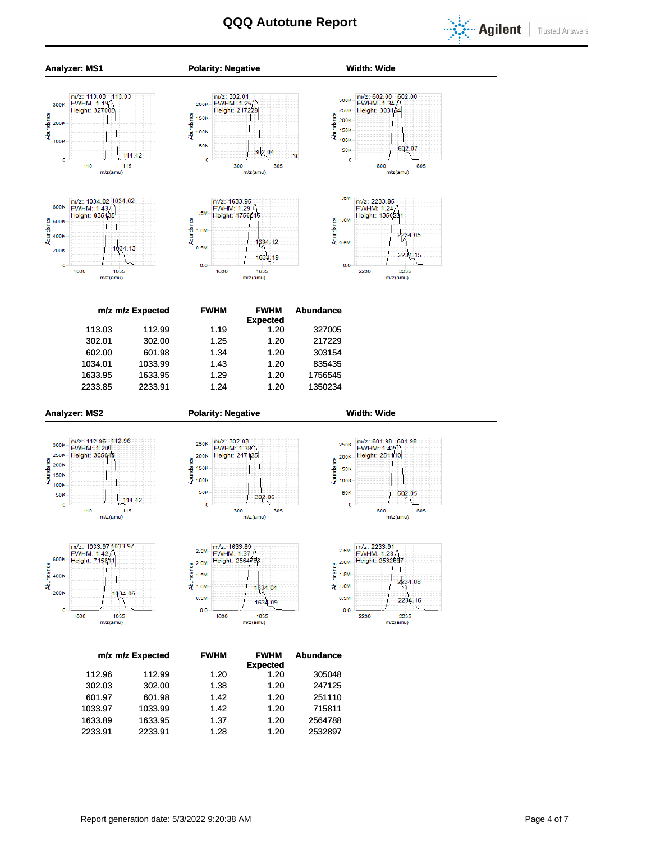



1033.97 1033.99 1.42 1.20 715811 1633.89 1633.95 1.37 1.20 2564788 2233.91 2233.91 1.28 1.20 2532897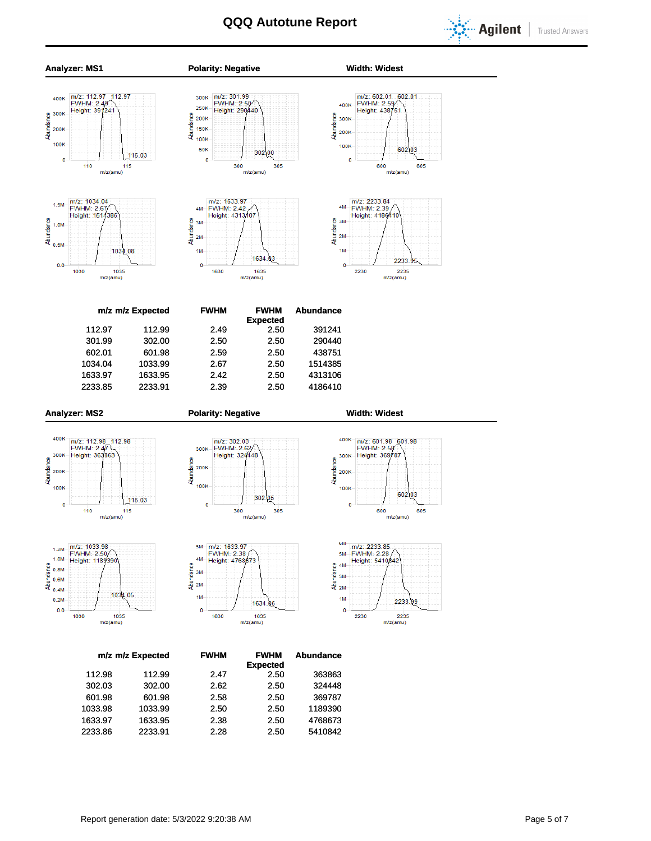

**Trusted Answers** 



601.98 601.98 2.58 2.50 369787 1033.98 1033.99 2.50 2.50 1189390 1633.97 1633.95 2.38 2.50 4768673 2233.86 2233.91 2.28 2.50 5410842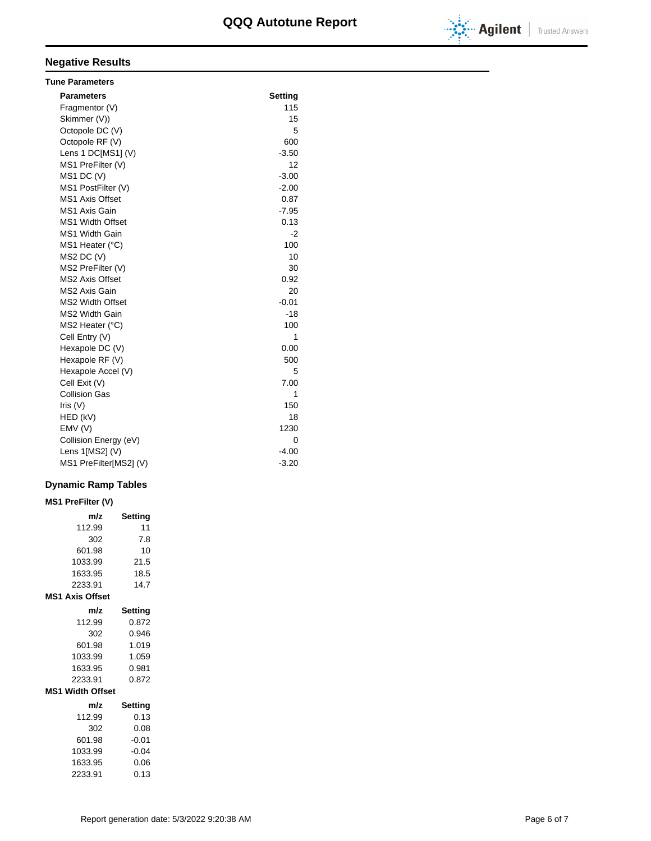

# **Negative Results**

| <b>Tune Parameters</b>  |         |
|-------------------------|---------|
| <b>Parameters</b>       | Setting |
| Fragmentor (V)          | 115     |
| Skimmer (V))            | 15      |
| Octopole DC (V)         | 5       |
| Octopole RF (V)         | 600     |
| Lens 1 DC[MS1] (V)      | $-3.50$ |
| MS1 PreFilter (V)       | 12      |
| $MS1$ DC $(V)$          | $-3.00$ |
| MS1 PostFilter (V)      | $-2.00$ |
| <b>MS1 Axis Offset</b>  | 0.87    |
| MS1 Axis Gain           | $-7.95$ |
| <b>MS1 Width Offset</b> | 0.13    |
| <b>MS1 Width Gain</b>   | $-2$    |
| MS1 Heater (°C)         | 100     |
| $MS2$ DC $(V)$          | 10      |
| MS2 PreFilter (V)       | 30      |
| <b>MS2 Axis Offset</b>  | 0.92    |
| MS2 Axis Gain           | 20      |
| <b>MS2 Width Offset</b> | $-0.01$ |
| <b>MS2 Width Gain</b>   | $-18$   |
| MS2 Heater (°C)         | 100     |
| Cell Entry (V)          | 1       |
| Hexapole DC (V)         | 0.00    |
| Hexapole RF (V)         | 500     |
| Hexapole Accel (V)      | 5       |
| Cell Exit (V)           | 7.00    |
| <b>Collision Gas</b>    | 1       |
| Iris $(V)$              | 150     |
| HED (kV)                | 18      |
| EMV(V)                  | 1230    |
| Collision Energy (eV)   | 0       |
| Lens 1[MS2] (V)         | $-4.00$ |
| MS1 PreFilter[MS2] (V)  | $-3.20$ |

### **Dynamic Ramp Tables**

| <b>MS1 PreFilter (V)</b> |         |
|--------------------------|---------|
| m/z                      | Setting |
| 112.99                   | 11      |
| 302                      | 7.8     |
| 601.98                   | 10      |
| 1033.99                  | 21.5    |
| 1633.95                  | 18.5    |
| 2233.91                  | 14.7    |
| <b>MS1 Axis Offset</b>   |         |
| m/z                      | Setting |
| 112.99                   | 0.872   |
| 302                      | 0.946   |
| 601.98                   | 1.019   |
| 1033.99                  | 1.059   |
| 1633.95                  | 0.981   |
| 2233.91                  | 0.872   |
| <b>MS1 Width Offset</b>  |         |
| m/z                      | Setting |
| 112.99                   | 0.13    |
| 302                      | 0.08    |
| 601.98                   | $-0.01$ |
| 1033.99                  | $-0.04$ |
| 1633.95                  | 0.06    |
| 2233.91                  | 0.13    |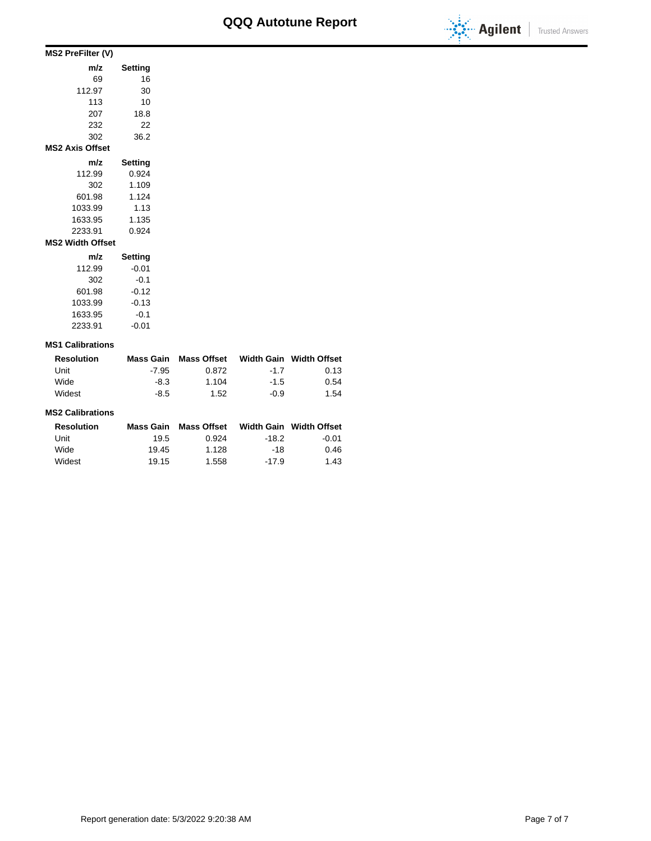

| MS2 PreFilter (V)       |         |
|-------------------------|---------|
| m/z                     | Setting |
| 69                      | 16      |
| 112.97                  | 30      |
| 113                     | 10      |
| 207                     | 18.8    |
| 232                     | 22      |
| 302                     | 36.2    |
| <b>MS2 Axis Offset</b>  |         |
| m/z                     | Setting |
| 112.99                  | 0.924   |
| 302                     | 1.109   |
| 601.98                  | 1.124   |
| 1033.99                 | 1.13    |
| 1633.95                 | 1.135   |
| 2233.91                 | 0.924   |
| <b>MS2 Width Offset</b> |         |
| m/z                     | Setting |
| 112.99                  | $-0.01$ |
| 302                     | $-0.1$  |
| 601.98                  | $-0.12$ |
| 1033.99                 | $-0.13$ |
| 1633.95                 | $-0.1$  |

### **MS1 Calibrations**

2233.91 -0.01

| <b>Resolution</b> | Mass Gain | Mass Offset |        | Width Gain Width Offset |
|-------------------|-----------|-------------|--------|-------------------------|
| Unit              | $-7.95$   | 0.872       | $-17$  | 0.13                    |
| Wide              | -8.3      | 1.104       | $-1.5$ | 0.54                    |
| Widest            | -8.5      | 1.52        | -0.9   | 1.54                    |

#### **MS2 Calibrations**

| <b>Resolution</b> | Mass Gain | <b>Mass Offset</b> |         | Width Gain Width Offset |
|-------------------|-----------|--------------------|---------|-------------------------|
| Unit              | 19.5      | 0.924              | -18.2   | $-0.01$                 |
| Wide              | 19.45     | 1.128              | -18     | 0.46                    |
| Widest            | 19.15     | 1.558              | $-17.9$ | 1.43                    |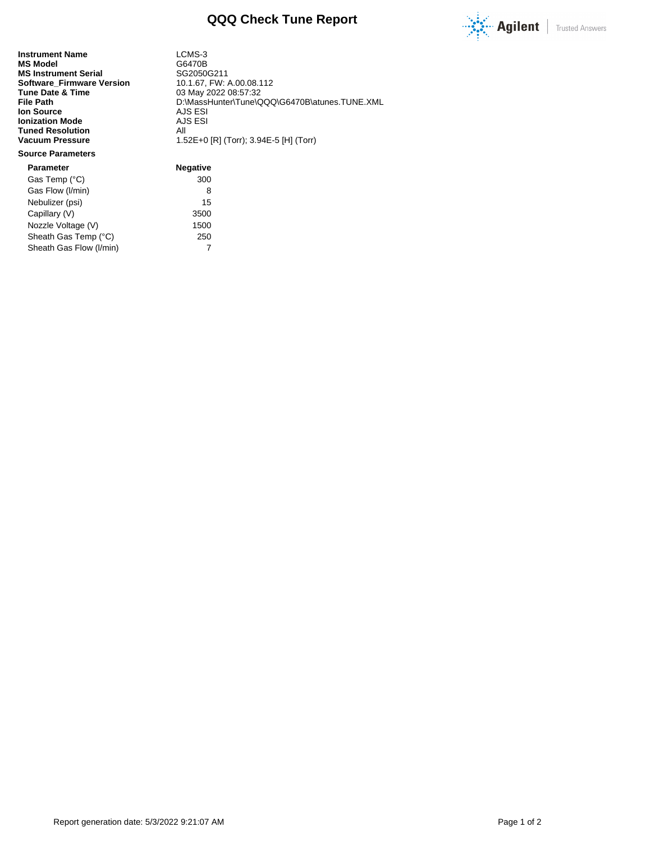

**Instrument Name** LCMS-3<br> **MS Model** G6470B **MS Model** G6470B<br> **MS Instrument Serial** GG2050G211 **MS Instrument Serial Serial SG2050G211**<br>**Software\_Firmware Version** 10.1.67, FW: A.00.08.112 **Software\_Firmware Version<br>Tune Date & Time Tune Date & Time** 03 May 2022 08:57:32<br>
File Path 0.WassHunter\Tune\C **Ion Source** AJS ESI<br> **Ionization Mode** AJS ESI **Ionization Mode** AJS<br> **Tuned Resolution** All **Tuned Resolution<br>Vacuum Pressure** 

**File Path** D:\MassHunter\Tune\QQQ\G6470B\atunes.TUNE.XML **Vacuum Pressure** 1.52E+0 [R] (Torr); 3.94E-5 [H] (Torr)

### **Source Parameters**

**Parameter Negative** Gas Temp (°C) 300 Gas Flow (I/min) 8 Nebulizer (psi) 15 Capillary (V) 3500 Nozzle Voltage (V) 1500 Sheath Gas Temp (°C) 250 Sheath Gas Flow (I/min) 7